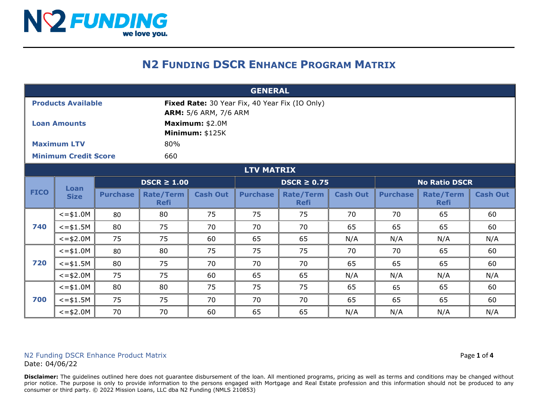

### **N2 FUNDING DSCR ENHANCE PROGRAM MATRIX**

| <b>GENERAL</b>              |                     |                  |                                 |                                                                                |                  |                                 |                 |                      |                                 |                 |  |  |
|-----------------------------|---------------------|------------------|---------------------------------|--------------------------------------------------------------------------------|------------------|---------------------------------|-----------------|----------------------|---------------------------------|-----------------|--|--|
| <b>Products Available</b>   |                     |                  |                                 | Fixed Rate: 30 Year Fix, 40 Year Fix (IO Only)<br><b>ARM:</b> 5/6 ARM, 7/6 ARM |                  |                                 |                 |                      |                                 |                 |  |  |
| <b>Loan Amounts</b>         |                     |                  |                                 | Maximum: \$2.0M<br><b>Minimum: \$125K</b>                                      |                  |                                 |                 |                      |                                 |                 |  |  |
| <b>Maximum LTV</b>          |                     |                  | 80%                             |                                                                                |                  |                                 |                 |                      |                                 |                 |  |  |
| <b>Minimum Credit Score</b> |                     |                  | 660                             |                                                                                |                  |                                 |                 |                      |                                 |                 |  |  |
| <b>LTV MATRIX</b>           |                     |                  |                                 |                                                                                |                  |                                 |                 |                      |                                 |                 |  |  |
| <b>FICO</b>                 | Loan<br><b>Size</b> | $DSCR \geq 1.00$ |                                 |                                                                                | $DSCR \geq 0.75$ |                                 |                 | <b>No Ratio DSCR</b> |                                 |                 |  |  |
|                             |                     | <b>Purchase</b>  | <b>Rate/Term</b><br><b>Refi</b> | <b>Cash Out</b>                                                                | <b>Purchase</b>  | <b>Rate/Term</b><br><b>Refi</b> | <b>Cash Out</b> | <b>Purchase</b>      | <b>Rate/Term</b><br><b>Refi</b> | <b>Cash Out</b> |  |  |
| 740                         | $\le$ = \$1.0M      | 80               | 80                              | 75                                                                             | 75               | 75                              | 70              | 70                   | 65                              | 60              |  |  |
|                             | $\le$ = \$1.5M      | 80               | 75                              | 70                                                                             | 70               | 70                              | 65              | 65                   | 65                              | 60              |  |  |
|                             | $\le$ = \$2.0M      | 75               | 75                              | 60                                                                             | 65               | 65                              | N/A             | N/A                  | N/A                             | N/A             |  |  |
| 720                         | $\le$ = \$1.0M      | 80               | 80                              | 75                                                                             | 75               | 75                              | 70              | 70                   | 65                              | 60              |  |  |
|                             | $\le$ = \$1.5M      | 80               | 75                              | 70                                                                             | 70               | 70                              | 65              | 65                   | 65                              | 60              |  |  |
|                             | $\le$ = \$2.0M      | 75               | 75                              | 60                                                                             | 65               | 65                              | N/A             | N/A                  | N/A                             | N/A             |  |  |
| 700                         | $\le$ = \$1.0M      | 80               | 80                              | 75                                                                             | 75               | 75                              | 65              | 65                   | 65                              | 60              |  |  |
|                             | $\le$ = \$1.5M      | 75               | 75                              | 70                                                                             | 70               | 70                              | 65              | 65                   | 65                              | 60              |  |  |
|                             | $\le$ = \$2.0M      | 70               | 70                              | 60                                                                             | 65               | 65                              | N/A             | N/A                  | N/A                             | N/A             |  |  |

#### N2 Funding DSCR Enhance Product Matrix **Page 1** of 4 Date: 04/06/22

**Disclaimer:** The guidelines outlined here does not guarantee disbursement of the loan. All mentioned programs, pricing as well as terms and conditions may be changed without prior notice. The purpose is only to provide information to the persons engaged with Mortgage and Real Estate profession and this information should not be produced to any consumer or third party. © 2022 Mission Loans, LLC dba N2 Funding (NMLS 210853)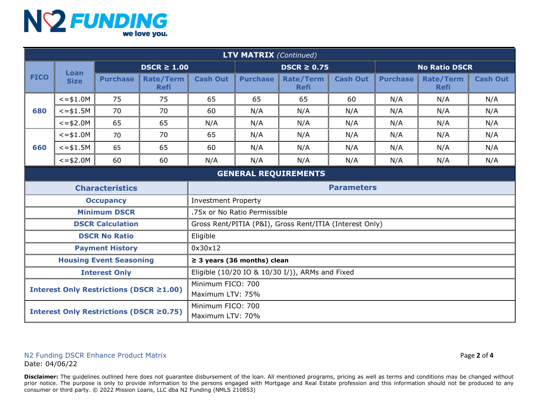# NY FUNDING

| <b>LTV MATRIX (Continued)</b>           |                     |                        |                                 |                                                         |                                                 |                                 |                 |                      |                                 |                 |  |
|-----------------------------------------|---------------------|------------------------|---------------------------------|---------------------------------------------------------|-------------------------------------------------|---------------------------------|-----------------|----------------------|---------------------------------|-----------------|--|
| <b>FICO</b>                             | Loan<br><b>Size</b> | $DSCR \geq 1.00$       |                                 |                                                         | $DSCR \geq 0.75$                                |                                 |                 | <b>No Ratio DSCR</b> |                                 |                 |  |
|                                         |                     | <b>Purchase</b>        | <b>Rate/Term</b><br><b>Refi</b> | <b>Cash Out</b>                                         | <b>Purchase</b>                                 | <b>Rate/Term</b><br><b>Refi</b> | <b>Cash Out</b> | <b>Purchase</b>      | <b>Rate/Term</b><br><b>Refi</b> | <b>Cash Out</b> |  |
| 680                                     | $\le$ = \$1.0M      | 75                     | 75                              | 65                                                      | 65                                              | 65                              | 60              | N/A                  | N/A                             | N/A             |  |
|                                         | $<=$ \$1.5M         | 70                     | 70                              | 60                                                      | N/A                                             | N/A                             | N/A             | N/A                  | N/A                             | N/A             |  |
|                                         | $\le$ = \$2.0M      | 65                     | 65                              | N/A                                                     | N/A                                             | N/A                             | N/A             | N/A                  | N/A                             | N/A             |  |
|                                         | $\le$ = \$1.0M      | 70                     | 70                              | 65                                                      | N/A                                             | N/A                             | N/A             | N/A                  | N/A                             | N/A             |  |
| 660                                     | $<=$ \$1.5M         | 65                     | 65                              | 60                                                      | N/A                                             | N/A                             | N/A             | N/A                  | N/A                             | N/A             |  |
|                                         | $\le$ = \$2.0M      | 60                     | 60                              | N/A                                                     | N/A                                             | N/A                             | N/A             | N/A                  | N/A                             | N/A             |  |
| <b>GENERAL REQUIREMENTS</b>             |                     |                        |                                 |                                                         |                                                 |                                 |                 |                      |                                 |                 |  |
| <b>Characteristics</b>                  |                     |                        |                                 | <b>Parameters</b>                                       |                                                 |                                 |                 |                      |                                 |                 |  |
| <b>Occupancy</b>                        |                     |                        |                                 | <b>Investment Property</b>                              |                                                 |                                 |                 |                      |                                 |                 |  |
| <b>Minimum DSCR</b>                     |                     |                        |                                 | .75x or No Ratio Permissible                            |                                                 |                                 |                 |                      |                                 |                 |  |
| <b>DSCR Calculation</b>                 |                     |                        |                                 | Gross Rent/PITIA (P&I), Gross Rent/ITIA (Interest Only) |                                                 |                                 |                 |                      |                                 |                 |  |
| <b>DSCR No Ratio</b>                    |                     |                        |                                 | Eligible                                                |                                                 |                                 |                 |                      |                                 |                 |  |
|                                         |                     | <b>Payment History</b> |                                 | 0x30x12                                                 |                                                 |                                 |                 |                      |                                 |                 |  |
| <b>Housing Event Seasoning</b>          |                     |                        |                                 |                                                         | $\geq$ 3 years (36 months) clean                |                                 |                 |                      |                                 |                 |  |
| <b>Interest Only</b>                    |                     |                        |                                 |                                                         | Eligible (10/20 IO & 10/30 I/)), ARMs and Fixed |                                 |                 |                      |                                 |                 |  |
| Interest Only Restrictions (DSCR ≥1.00) |                     |                        |                                 | Minimum FICO: 700<br>Maximum LTV: 75%                   |                                                 |                                 |                 |                      |                                 |                 |  |
| Interest Only Restrictions (DSCR ≥0.75) |                     |                        |                                 | Minimum FICO: 700<br>Maximum LTV: 70%                   |                                                 |                                 |                 |                      |                                 |                 |  |

#### N2 Funding DSCR Enhance Product Matrix **And Access 2** of 4 Date: 04/06/22

Disclaimer: The guidelines outlined here does not guarantee disbursement of the loan. All mentioned programs, pricing as well as terms and conditions may be changed without prior notice. The purpose is only to provide information to the persons engaged with Mortgage and Real Estate profession and this information should not be produced to any consumer or third party. © 2022 Mission Loans, LLC dba N2 Funding (NMLS 210853)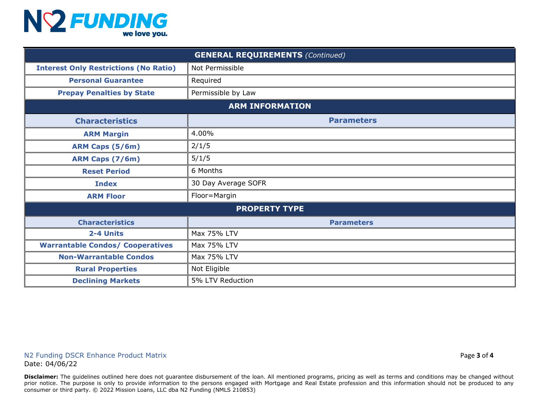## NY FUNDING

| <b>GENERAL REQUIREMENTS (Continued)</b>      |                     |  |  |  |  |  |
|----------------------------------------------|---------------------|--|--|--|--|--|
| <b>Interest Only Restrictions (No Ratio)</b> | Not Permissible     |  |  |  |  |  |
| <b>Personal Guarantee</b>                    | Required            |  |  |  |  |  |
| <b>Prepay Penalties by State</b>             | Permissible by Law  |  |  |  |  |  |
| <b>ARM INFORMATION</b>                       |                     |  |  |  |  |  |
| <b>Characteristics</b>                       | <b>Parameters</b>   |  |  |  |  |  |
| <b>ARM Margin</b>                            | 4.00%               |  |  |  |  |  |
| ARM Caps (5/6m)                              | 2/1/5               |  |  |  |  |  |
| ARM Caps (7/6m)                              | 5/1/5               |  |  |  |  |  |
| <b>Reset Period</b>                          | 6 Months            |  |  |  |  |  |
| <b>Index</b>                                 | 30 Day Average SOFR |  |  |  |  |  |
| <b>ARM Floor</b>                             | Floor=Margin        |  |  |  |  |  |
| <b>PROPERTY TYPE</b>                         |                     |  |  |  |  |  |
| <b>Characteristics</b>                       | <b>Parameters</b>   |  |  |  |  |  |
| 2-4 Units                                    | Max 75% LTV         |  |  |  |  |  |
| <b>Warrantable Condos/ Cooperatives</b>      | Max 75% LTV         |  |  |  |  |  |
| <b>Non-Warrantable Condos</b>                | Max 75% LTV         |  |  |  |  |  |
| <b>Rural Properties</b>                      | Not Eligible        |  |  |  |  |  |
| <b>Declining Markets</b>                     | 5% LTV Reduction    |  |  |  |  |  |

Disclaimer: The guidelines outlined here does not guarantee disbursement of the loan. All mentioned programs, pricing as well as terms and conditions may be changed without prior notice. The purpose is only to provide information to the persons engaged with Mortgage and Real Estate profession and this information should not be produced to any consumer or third party. © 2022 Mission Loans, LLC dba N2 Funding (NMLS 210853)